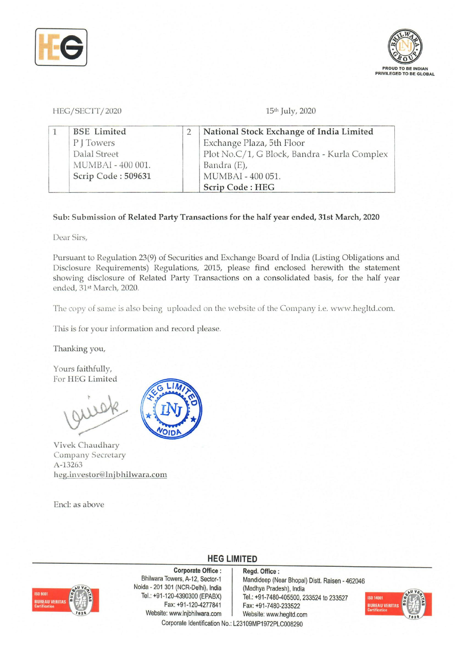



HEG/SECIT/2020 15<sup>th</sup> July, 2020

| <b>BSE</b> Limited | National Stock Exchange of India Limited     |
|--------------------|----------------------------------------------|
| P J Towers         | Exchange Plaza, 5th Floor                    |
| Dalal Street       | Plot No.C/1, G Block, Bandra - Kurla Complex |
| MUMBAI - 400 001.  | Bandra (E),                                  |
| Scrip Code: 509631 | MUMBAI - 400 051.                            |
|                    | Scrip Code: HEG                              |

## Sub: Submission of Related Party Transactions for the half year ended, 31st March, 2020

Dear Sirs,

Pursuant to Regulation 23(9) of Securities and Exchange Board of India (Listing Obligations and Disclosure Requirements) Regulations, 2015, please find enclosed herewith the statement showing disclosure of Related Party Transactions on a consolidated basis, for the half year ended, 31st March, 2020.

The copy of same is also being uploaded on the website of the Company i.e. www.hegltd.com.

This is for your information and record please.

Thanking you,

Yours faithfully, For HEG Limited

Vivek Chaudhary Company Secretary A-13263 heg. investor@lnjbhilwara.com

End: as above



**HEG LIMITED** 



Corporate Office : Bhilwara Towers, A-12, Sector-1 Noida - 201 301 (NCR-Delhi), India Tei.: +91-120-4390300 (EPABX) Fax: +91-120-4277841 Website: www.lnjbhilwara.com | Website: www.hegltd.com Corporate Identification No.: L23109MP1972PLC008290

Regd. Office: Mandideep (Near Bhopal) Distt. Raisen - 462046 (Madhya Pradesh), India Tei.: +91-7480-405500, 233524 to 233527 Fax: +91-7480-233522

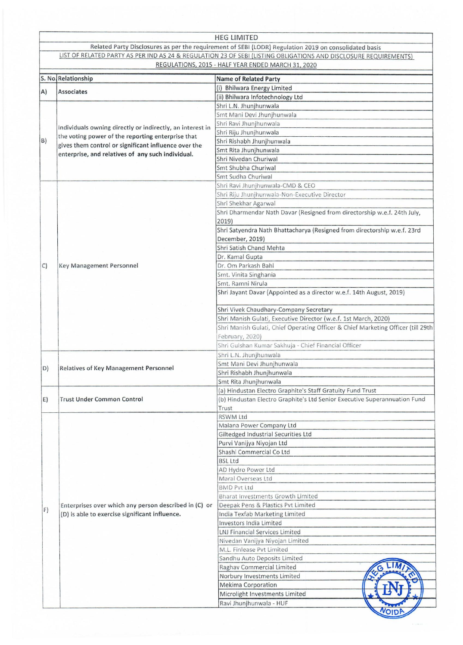|    |                                                                                                         | <b>HEG LIMITED</b>                                                                                               |  |
|----|---------------------------------------------------------------------------------------------------------|------------------------------------------------------------------------------------------------------------------|--|
|    |                                                                                                         | Related Party Disclosures as per the requirement of SEBI (LODR) Regulation 2019 on consolidated basis            |  |
|    |                                                                                                         | LIST OF RELATED PARTY AS PER IND AS 24 & REGULATION 23 OF SEBI (LISTING OBLIGATIONS AND DISCLOSURE REQUIREMENTS) |  |
|    |                                                                                                         | REGULATIONS, 2015 - HALF YEAR ENDED MARCH 31, 2020                                                               |  |
|    | S. No. Relationship                                                                                     | <b>Name of Related Party</b>                                                                                     |  |
| A) | Associates                                                                                              | (i) Bhilwara Energy Limited                                                                                      |  |
|    |                                                                                                         | (ii) Bhilwara Infotechnology Ltd                                                                                 |  |
|    |                                                                                                         | Shri L.N. Jhunjhunwala                                                                                           |  |
|    |                                                                                                         | Smt Mani Devi Jhunjhunwala                                                                                       |  |
|    | Individuals owning directly or indirectly, an interest in                                               | Shri Ravi Jhunjhunwala<br>Shri Riju Jhunjhunwala                                                                 |  |
| B) | the voting power of the reporting enterprise that                                                       | Shri Rishabh Jhunjhunwala                                                                                        |  |
|    | gives them control or significant influence over the                                                    | Smt Rita Jhunjhunwala                                                                                            |  |
|    | enterprise, and relatives of any such individual.                                                       | Shri Nivedan Churiwal                                                                                            |  |
|    |                                                                                                         | Smt Shubha Churiwal                                                                                              |  |
|    |                                                                                                         | Smt Sudha Churiwal                                                                                               |  |
|    |                                                                                                         | Shri Ravi Jhunjhunwala-CMD & CEO                                                                                 |  |
|    |                                                                                                         | Shri Riju Jhunjhunwala-Non-Executive Director                                                                    |  |
|    |                                                                                                         | Shri Shekhar Agarwal                                                                                             |  |
|    |                                                                                                         | Shri Dharmendar Nath Davar (Resigned from directorship w.e.f. 24th July,                                         |  |
|    |                                                                                                         | 2019)                                                                                                            |  |
|    |                                                                                                         | Shri Satyendra Nath Bhattacharya (Resigned from directorship w.e.f. 23rd<br>December, 2019)                      |  |
|    |                                                                                                         | Shri Satish Chand Mehta                                                                                          |  |
|    |                                                                                                         | Dr. Kamal Gupta                                                                                                  |  |
| C  | Key Management Personnel                                                                                | Dr. Om Parkash Bahl                                                                                              |  |
|    |                                                                                                         | Smt. Vinita Singhania                                                                                            |  |
|    |                                                                                                         | Smt. Ramni Nirula                                                                                                |  |
|    |                                                                                                         | Shri Jayant Davar (Appointed as a director w.e.f. 14th August, 2019)                                             |  |
|    |                                                                                                         |                                                                                                                  |  |
|    |                                                                                                         | Shri Vivek Chaudhary-Company Secretary                                                                           |  |
|    |                                                                                                         | Shri Manish Gulati, Executive Director (w.e.f. 1st March, 2020)                                                  |  |
|    |                                                                                                         | Shri Manish Gulati, Chief Operating Officer & Chief Marketing Officer (till 29th                                 |  |
|    |                                                                                                         | February, 2020)                                                                                                  |  |
|    |                                                                                                         | Shri Gulshan Kumar Sakhuja - Chief Financial Officer<br>Shri L.N. Jhunjhunwala                                   |  |
|    |                                                                                                         | Smt Mani Devi Jhunjhunwala                                                                                       |  |
|    | D) Relatives of Key Management Personnel                                                                | Shri Rishabh Jhunjhunwala                                                                                        |  |
|    |                                                                                                         | Smt Rita Jhunjhunwala                                                                                            |  |
|    |                                                                                                         | (a) Hindustan Electro Graphite's Staff Gratuity Fund Trust                                                       |  |
| E) | <b>Trust Under Common Control</b>                                                                       | (b) Hindustan Electro Graphite's Ltd Senior Executive Superannuation Fund                                        |  |
|    |                                                                                                         | Trust                                                                                                            |  |
|    |                                                                                                         | <b>RSWM Ltd</b>                                                                                                  |  |
|    |                                                                                                         | Malana Power Company Ltd                                                                                         |  |
|    |                                                                                                         | Giltedged Industrial Securities Ltd                                                                              |  |
|    |                                                                                                         | Purvi Vanijya Niyojan Ltd<br>Shashi Commercial Co Ltd                                                            |  |
|    |                                                                                                         | <b>BSL Ltd</b>                                                                                                   |  |
|    |                                                                                                         | AD Hydro Power Ltd                                                                                               |  |
|    |                                                                                                         | Maral Overseas Ltd                                                                                               |  |
|    |                                                                                                         | <b>BMD Pvt Ltd</b>                                                                                               |  |
|    |                                                                                                         | Bharat Investments Growth Limited                                                                                |  |
|    | Enterprises over which any person described in (C) or<br>(D) is able to exercise significant influence. | Deepak Pens & Plastics Pvt Limited                                                                               |  |
| F) |                                                                                                         | India Texfab Marketing Limited                                                                                   |  |
|    |                                                                                                         | Investors India Limited                                                                                          |  |
|    |                                                                                                         | LNJ Financial Services Limited                                                                                   |  |
|    |                                                                                                         | Nivedan Vanijya Niyojan Limited                                                                                  |  |
|    |                                                                                                         | M.L. Finlease Pvt Limited                                                                                        |  |
|    |                                                                                                         | Sandhu Auto Deposits Limited                                                                                     |  |
|    |                                                                                                         | Raghav Commercial Limited                                                                                        |  |
|    |                                                                                                         | Norbury Investments Limited<br><b>Mekima Corporation</b>                                                         |  |
|    |                                                                                                         | Microlight Investments Limited                                                                                   |  |
|    |                                                                                                         | Ravi Jhunjhunwala - HUF                                                                                          |  |
|    |                                                                                                         |                                                                                                                  |  |